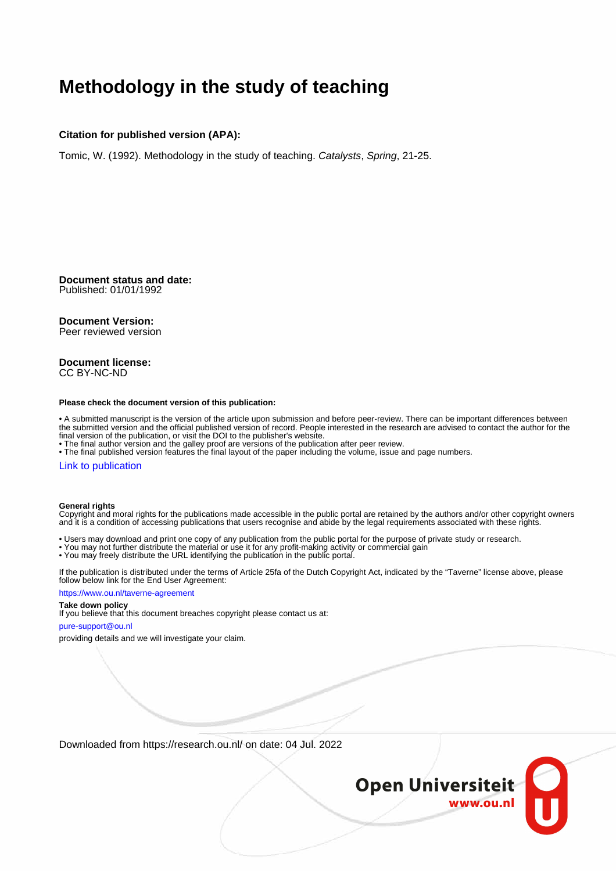# **Methodology in the study of teaching**

#### **Citation for published version (APA):**

Tomic, W. (1992). Methodology in the study of teaching. Catalysts, Spring, 21-25.

**Document status and date:** Published: 01/01/1992

#### **Document Version:**

Peer reviewed version

#### **Document license:** CC BY-NC-ND

#### **Please check the document version of this publication:**

• A submitted manuscript is the version of the article upon submission and before peer-review. There can be important differences between the submitted version and the official published version of record. People interested in the research are advised to contact the author for the final version of the publication, or visit the DOI to the publisher's website.

• The final author version and the galley proof are versions of the publication after peer review.

• The final published version features the final layout of the paper including the volume, issue and page numbers.

#### [Link to publication](https://research.ou.nl/en/publications/13aa444f-80ee-4957-95d3-e3e22b366c68)

#### **General rights**

Copyright and moral rights for the publications made accessible in the public portal are retained by the authors and/or other copyright owners and it is a condition of accessing publications that users recognise and abide by the legal requirements associated with these rights.

- Users may download and print one copy of any publication from the public portal for the purpose of private study or research.
- You may not further distribute the material or use it for any profit-making activity or commercial gain
- You may freely distribute the URL identifying the publication in the public portal.

If the publication is distributed under the terms of Article 25fa of the Dutch Copyright Act, indicated by the "Taverne" license above, please follow below link for the End User Agreement:

#### https://www.ou.nl/taverne-agreement

#### **Take down policy**

If you believe that this document breaches copyright please contact us at:

#### pure-support@ou.nl

providing details and we will investigate your claim.

Downloaded from https://research.ou.nl/ on date: 04 Jul. 2022

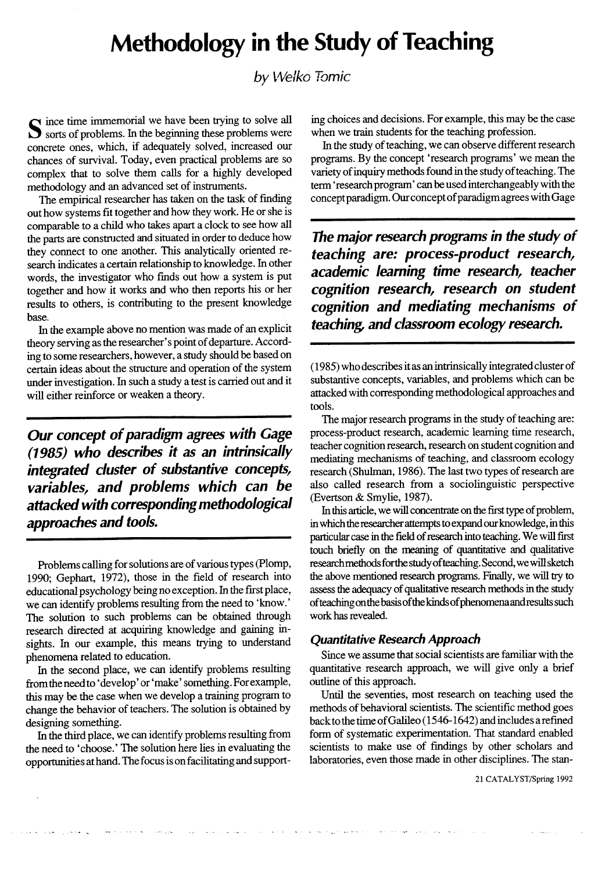# **Methodology in the Study of Teaching**

by Welko Tomic

Solve all Sorts of problems. In the beginning these problems were concrete ones, which, if adequately solved, increased our chances of survival. Today, even practical problems are so complex that to solve them calls for a highly developed methodology and an advanced set of instruments.

The empirical researcher has taken on the task of finding out how systems fit together and how they work. He or she is comparable to a child who takes apart a clock to see how all the parts are constructed and situated in order to deduce how they connect to one another. This analytically oriented research indicates a certain relationship to knowledge. In other words, the investigator who finds out how a system is put together and how it works and who then reports his or her results to others, is contributing to the present knowledge base.

In the example above no mention was made of an explicit theory serving as the researcher's point of departure. According to some researchers, however, a study should be based on certain ideas about the structure and operation of the system under investigation. In such a study a test is carried out and it will either reinforce or weaken a theory.

Our concept of paradigm agrees with Gage (1985) who describes it as an intrinsically integrated cluster of substantive concepts, variables, and problems which can be attacked with corresponding methodological approaches and tools.

Problems calling for solutions are of various types (Plomp, 1990; Gephart, 1972), those in the field of research into educational psychology being no exception. In the first place, we can identify problems resulting from the need to 'know.' The solution to such problems can be obtained through research directed at acquiring knowledge and gaining insights. In our example, this means trying to understand phenomena related to education.

In the second place, we can identify problems resulting from the need to 'develop' or 'make' something. For example, this may be the case when we develop a training program to change the behavior of teachers. The solution is obtained by designing something.

In the third place, we can identify problems resulting from the need to 'choose.' The solution here lies in evaluating the opportunities at hand. The focus is on facilitating and support-

الماريان والمستقلة

ing choices and decisions. For example, this may be the case when we train students for the teaching profession.

In the study of teaching, we can observe different research programs. By the concept 'research programs' we mean the variety of inquiry methods found in the study of teaching. The term 'research program' can be used interchangeably with the concept paradigm. Our concept of paradigm agrees with Gage

The major research programs in the study of teaching are: process-product research, academic learning time research, teacher cognition research, research on student cognition and mediating mechanisms of teaching, and classroom ecology research.

(1985) who describes it as an intrinsically integrated cluster of substantive concepts, variables, and problems which can be attacked with corresponding methodological approaches and tools.

The major research programs in the study of teaching are: process-product research, academic learning time research, teacher cognition research, research on student cognition and mediating mechanisms of teaching, and classroom ecology research (Shulman, 1986). The last two types of research are also called research from a sociolinguistic perspective (Evertson & Smylie, 1987).

In this article, we will concentrate on the first type of problem, in which the researcher attempts to expand our knowledge, in this particular case in the field of research into teaching. We will first touch briefly on the meaning of quantitative and qualitative research methods for the study of teaching. Second, we will sketch the above mentioned research programs. Finally, we will try to assess the adequacy of qualitative research methods in the study of teaching on the basis of the kinds of phenomena and results such work has revealed.

## **Ouantitative Research Approach**

الدعام الهمر الممرور فقامتك معارك والعطائر والمراجع فالقائل والمتعارض المتعاطيات والمتعارض والأفرق المرارات الفرونطيات

Since we assume that social scientists are familiar with the quantitative research approach, we will give only a brief outline of this approach.

Until the seventies, most research on teaching used the methods of behavioral scientists. The scientific method goes back to the time of Galileo (1546-1642) and includes a refined form of systematic experimentation. That standard enabled scientists to make use of findings by other scholars and laboratories, even those made in other disciplines. The stan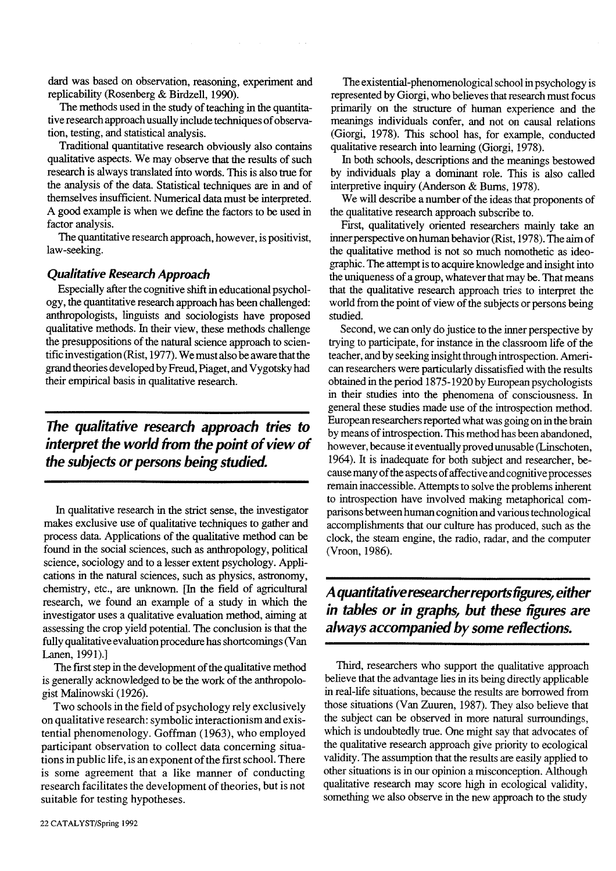dard was based on observation, reasoning, experiment and replicability (Rosenberg & Birdzell, 1990).

The methods used in the study of teaching in the quantitative research approach usually include techniques of observation, testing, and statistical analysis.

Traditional quantitative research obviously also contains qualitative aspects. We may observe that the results of such research is always translated into words. This is also true for the analysis of the data. Statistical techniques are in and of themselves insufficient. Numerical data must be interpreted. A good example is when we define the factors to be used in factor analysis.

The quantitative research approach, however, is positivist, law-seeking.

## **Qualitative Research Approach**

Especially after the cognitive shift in educational psychology, the quantitative research approach has been challenged: anthropologists, linguists and sociologists have proposed qualitative methods. In their view, these methods challenge the presuppositions of the natural science approach to scientific investigation (Rist, 1977). We must also be aware that the grand theories developed by Freud, Piaget, and Vygotsky had their empirical basis in qualitative research.

The qualitative research approach tries to interpret the world from the point of view of the subjects or persons being studied.

In qualitative research in the strict sense, the investigator makes exclusive use of qualitative techniques to gather and process data. Applications of the qualitative method can be found in the social sciences, such as anthropology, political science, sociology and to a lesser extent psychology. Applications in the natural sciences, such as physics, astronomy, chemistry, etc., are unknown. In the field of agricultural research, we found an example of a study in which the investigator uses a qualitative evaluation method, aiming at assessing the crop yield potential. The conclusion is that the fully qualitative evaluation procedure has shortcomings (Van Lanen, 1991).]

The first step in the development of the qualitative method is generally acknowledged to be the work of the anthropologist Malinowski (1926).

Two schools in the field of psychology rely exclusively on qualitative research: symbolic interactionism and existential phenomenology. Goffman (1963), who employed participant observation to collect data concerning situations in public life, is an exponent of the first school. There is some agreement that a like manner of conducting research facilitates the development of theories, but is not suitable for testing hypotheses.

In both schools, descriptions and the meanings bestowed by individuals play a dominant role. This is also called interpretive inquiry (Anderson & Burns, 1978).

We will describe a number of the ideas that proponents of the qualitative research approach subscribe to.

First, qualitatively oriented researchers mainly take an inner perspective on human behavior (Rist, 1978). The aim of the qualitative method is not so much nomothetic as ideographic. The attempt is to acquire knowledge and insight into the uniqueness of a group, whatever that may be. That means that the qualitative research approach tries to interpret the world from the point of view of the subjects or persons being studied.

Second, we can only do justice to the inner perspective by trying to participate, for instance in the classroom life of the teacher, and by seeking insight through introspection. American researchers were particularly dissatisfied with the results obtained in the period 1875-1920 by European psychologists in their studies into the phenomena of consciousness. In general these studies made use of the introspection method. European researchers reported what was going on in the brain by means of introspection. This method has been abandoned, however, because it eventually proved unusable (Linschoten, 1964). It is inadequate for both subject and researcher, because many of the aspects of affective and cognitive processes remain inaccessible. Attempts to solve the problems inherent to introspection have involved making metaphorical comparisons between human cognition and various technological accomplishments that our culture has produced, such as the clock, the steam engine, the radio, radar, and the computer (Vroon, 1986).

## A quantitative researcher reports figures, either in tables or in graphs, but these figures are always accompanied by some reflections.

Third, researchers who support the qualitative approach believe that the advantage lies in its being directly applicable in real-life situations, because the results are borrowed from those situations (Van Zuuren, 1987). They also believe that the subject can be observed in more natural surroundings, which is undoubtedly true. One might say that advocates of the qualitative research approach give priority to ecological validity. The assumption that the results are easily applied to other situations is in our opinion a misconception. Although qualitative research may score high in ecological validity, something we also observe in the new approach to the study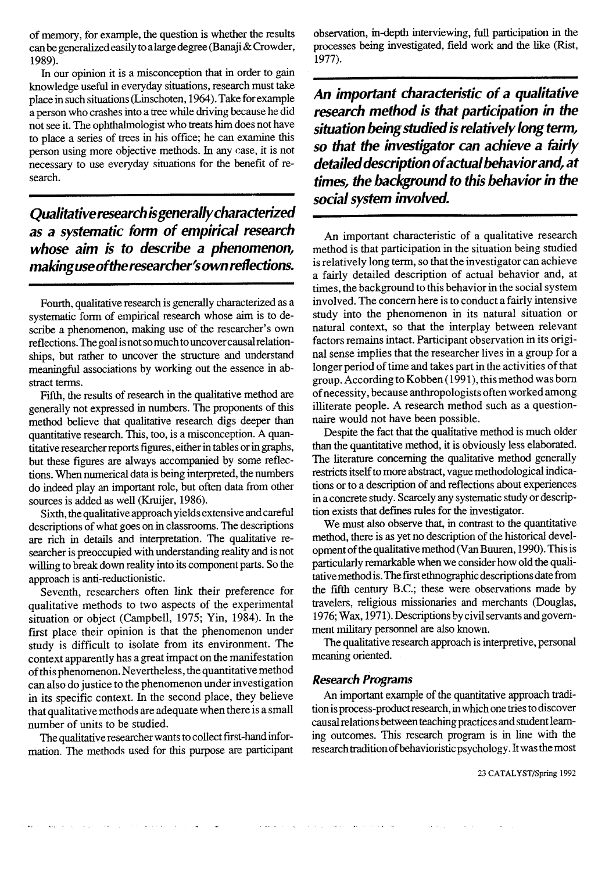of memory, for example, the question is whether the results can be generalized easily to a large degree (Banaji & Crowder, 1989).

In our opinion it is a misconception that in order to gain knowledge useful in everyday situations, research must take place in such situations (Linschoten, 1964). Take for example a person who crashes into a tree while driving because he did not see it. The ophthalmologist who treats him does not have to place a series of trees in his office; he can examine this person using more objective methods. In any case, it is not necessary to use everyday situations for the benefit of research.

Oualitative research is generally characterized as a systematic form of empirical research whose aim is to describe a phenomenon, making use of the researcher's own reflections.

Fourth, qualitative research is generally characterized as a systematic form of empirical research whose aim is to describe a phenomenon, making use of the researcher's own reflections. The goal is not so much to uncover causal relationships, but rather to uncover the structure and understand meaningful associations by working out the essence in abstract terms.

Fifth, the results of research in the qualitative method are generally not expressed in numbers. The proponents of this method believe that qualitative research digs deeper than quantitative research. This, too, is a misconception. A quantitative researcher reports figures, either in tables or in graphs, but these figures are always accompanied by some reflections. When numerical data is being interpreted, the numbers do indeed play an important role, but often data from other sources is added as well (Kruijer, 1986).

Sixth, the qualitative approach yields extensive and careful descriptions of what goes on in classrooms. The descriptions are rich in details and interpretation. The qualitative researcher is preoccupied with understanding reality and is not willing to break down reality into its component parts. So the approach is anti-reductionistic.

Seventh, researchers often link their preference for qualitative methods to two aspects of the experimental situation or object (Campbell, 1975; Yin, 1984). In the first place their opinion is that the phenomenon under study is difficult to isolate from its environment. The context apparently has a great impact on the manifestation of this phenomenon. Nevertheless, the quantitative method can also do justice to the phenomenon under investigation in its specific context. In the second place, they believe that qualitative methods are adequate when there is a small number of units to be studied.

The qualitative researcher wants to collect first-hand information. The methods used for this purpose are participant observation, in-depth interviewing, full participation in the processes being investigated, field work and the like (Rist, 1977).

An important characteristic of a qualitative research method is that participation in the situation being studied is relatively long term, so that the investigator can achieve a fairly detailed description of actual behavior and, at times, the background to this behavior in the social system involved.

An important characteristic of a qualitative research method is that participation in the situation being studied is relatively long term, so that the investigator can achieve a fairly detailed description of actual behavior and, at times, the background to this behavior in the social system involved. The concern here is to conduct a fairly intensive study into the phenomenon in its natural situation or natural context, so that the interplay between relevant factors remains intact. Participant observation in its original sense implies that the researcher lives in a group for a longer period of time and takes part in the activities of that group. According to Kobben (1991), this method was born of necessity, because anthropologists often worked among illiterate people. A research method such as a questionnaire would not have been possible.

Despite the fact that the qualitative method is much older than the quantitative method, it is obviously less elaborated. The literature concerning the qualitative method generally restricts itself to more abstract, vague methodological indications or to a description of and reflections about experiences in a concrete study. Scarcely any systematic study or description exists that defines rules for the investigator.

We must also observe that, in contrast to the quantitative method, there is as yet no description of the historical development of the qualitative method (Van Buuren, 1990). This is particularly remarkable when we consider how old the qualitative method is. The first ethnographic descriptions date from the fifth century B.C.; these were observations made by travelers, religious missionaries and merchants (Douglas, 1976; Wax, 1971). Descriptions by civil servants and government military personnel are also known.

The qualitative research approach is interpretive, personal meaning oriented.

## **Research Programs**

An important example of the quantitative approach tradition is process-product research, in which one tries to discover causal relations between teaching practices and student learning outcomes. This research program is in line with the research tradition of behavioristic psychology. It was the most

لها المعاشر والمحتملة فتعالى المعادلتين والتراب والطمع المنوجية المحارب والحافظ الأمانية والتناسب الترابيب والتنابي التبايل الترابي الترابي والتناسيب  $\sim$  $\sim 100$  km s  $^{-1}$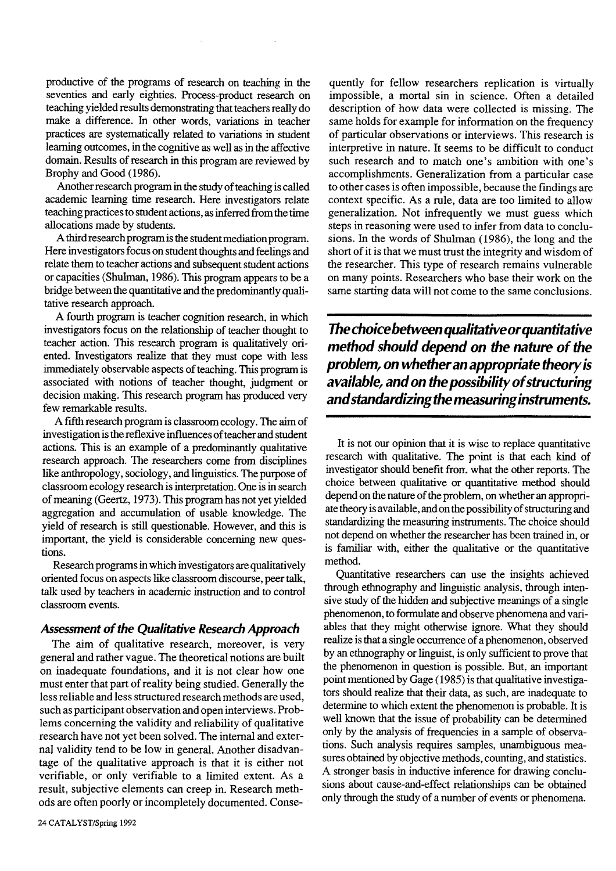productive of the programs of research on teaching in the seventies and early eighties. Process-product research on teaching yielded results demonstrating that teachers really do make a difference. In other words, variations in teacher practices are systematically related to variations in student learning outcomes, in the cognitive as well as in the affective domain. Results of research in this program are reviewed by Brophy and Good (1986).

Another research program in the study of teaching is called academic learning time research. Here investigators relate teaching practices to student actions, as inferred from the time allocations made by students.

A third research program is the student mediation program. Here investigators focus on student thoughts and feelings and relate them to teacher actions and subsequent student actions or capacities (Shulman, 1986). This program appears to be a bridge between the quantitative and the predominantly qualitative research approach.

A fourth program is teacher cognition research, in which investigators focus on the relationship of teacher thought to teacher action. This research program is qualitatively oriented. Investigators realize that they must cope with less immediately observable aspects of teaching. This program is associated with notions of teacher thought, judgment or decision making. This research program has produced very few remarkable results.

A fifth research program is classroom ecology. The aim of investigation is the reflexive influences of teacher and student actions. This is an example of a predominantly qualitative research approach. The researchers come from disciplines like anthropology, sociology, and linguistics. The purpose of classroom ecology research is interpretation. One is in search of meaning (Geertz, 1973). This program has not yet yielded aggregation and accumulation of usable knowledge. The yield of research is still questionable. However, and this is important, the yield is considerable concerning new questions.

Research programs in which investigators are qualitatively oriented focus on aspects like classroom discourse, peer talk, talk used by teachers in academic instruction and to control classroom events.

## **Assessment of the Qualitative Research Approach**

The aim of qualitative research, moreover, is very general and rather vague. The theoretical notions are built on inadequate foundations, and it is not clear how one must enter that part of reality being studied. Generally the less reliable and less structured research methods are used, such as participant observation and open interviews. Problems concerning the validity and reliability of qualitative research have not yet been solved. The internal and external validity tend to be low in general. Another disadvantage of the qualitative approach is that it is either not verifiable, or only verifiable to a limited extent. As a result, subjective elements can creep in. Research methods are often poorly or incompletely documented. Conse-

quently for fellow researchers replication is virtually impossible, a mortal sin in science. Often a detailed description of how data were collected is missing. The same holds for example for information on the frequency of particular observations or interviews. This research is interpretive in nature. It seems to be difficult to conduct such research and to match one's ambition with one's accomplishments. Generalization from a particular case to other cases is often impossible, because the findings are context specific. As a rule, data are too limited to allow generalization. Not infrequently we must guess which steps in reasoning were used to infer from data to conclusions. In the words of Shulman (1986), the long and the short of it is that we must trust the integrity and wisdom of the researcher. This type of research remains vulnerable on many points. Researchers who base their work on the same starting data will not come to the same conclusions.

The choice between qualitative or quantitative method should depend on the nature of the problem, on whether an appropriate theory is available, and on the possibility of structuring and standardizing the measuring instruments.

It is not our opinion that it is wise to replace quantitative research with qualitative. The point is that each kind of investigator should benefit from. what the other reports. The choice between qualitative or quantitative method should depend on the nature of the problem, on whether an appropriate theory is available, and on the possibility of structuring and standardizing the measuring instruments. The choice should not depend on whether the researcher has been trained in, or is familiar with, either the qualitative or the quantitative method.

Quantitative researchers can use the insights achieved through ethnography and linguistic analysis, through intensive study of the hidden and subjective meanings of a single phenomenon, to formulate and observe phenomena and variables that they might otherwise ignore. What they should realize is that a single occurrence of a phenomenon, observed by an ethnography or linguist, is only sufficient to prove that the phenomenon in question is possible. But, an important point mentioned by Gage (1985) is that qualitative investigators should realize that their data, as such, are inadequate to determine to which extent the phenomenon is probable. It is well known that the issue of probability can be determined only by the analysis of frequencies in a sample of observations. Such analysis requires samples, unambiguous measures obtained by objective methods, counting, and statistics. A stronger basis in inductive inference for drawing conclusions about cause-and-effect relationships can be obtained only through the study of a number of events or phenomena.